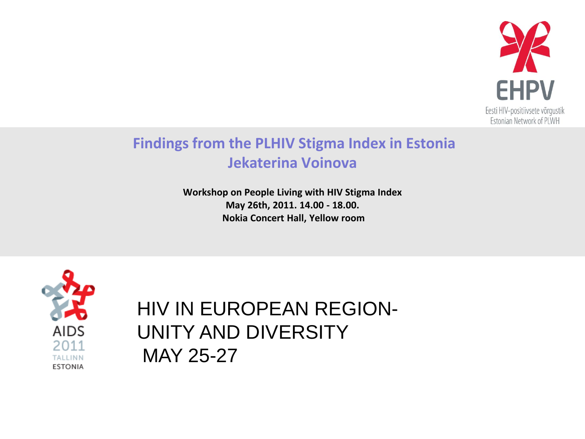

### **Findings from the PLHIV Stigma Index in Estonia Jekaterina Voinova**

**Workshop on People Living with HIV Stigma Index May 26th, 2011. 14.00 - 18.00. Nokia Concert Hall, Yellow room**



### HIV IN EUROPEAN REGION-UNITY AND DIVERSITY MAY 25-27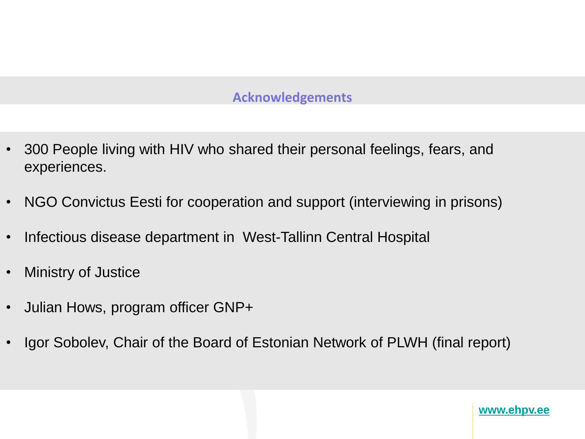### **Acknowledgements**

- 300 People living with HIV who shared their personal feelings, fears, and experiences.
- NGO Convictus Eesti for cooperation and support (interviewing in prisons)
- Infectious disease department in West-Tallinn Central Hospital
- Ministry of Justice
- Julian Hows, program officer GNP+
- Igor Sobolev, Chair of the Board of Estonian Network of PLWH (final report)

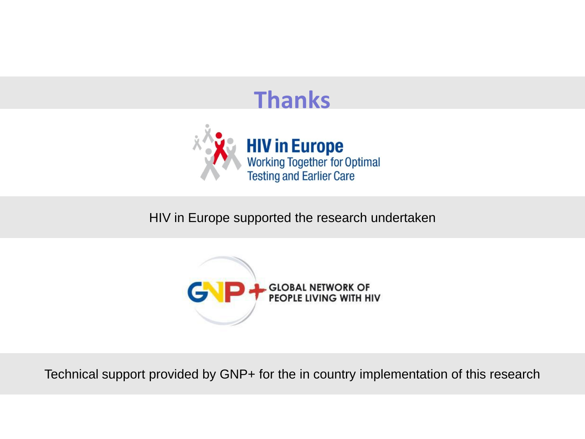## **Thanks**



HIV in Europe supported the research undertaken



Technical support provided by GNP+ for the in country implementation of this research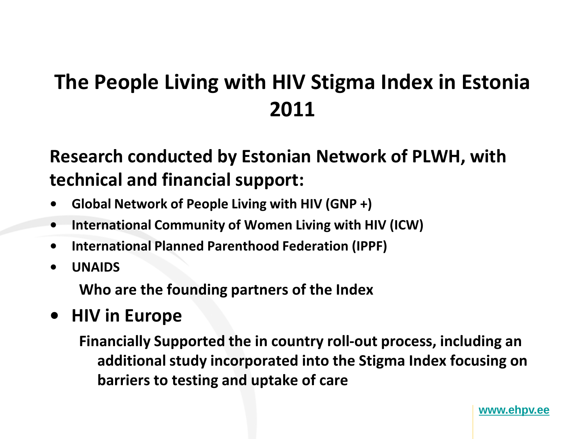## **The People Living with HIV Stigma Index in Estonia 2011**

### **Research conducted by Estonian Network of PLWH, with technical and financial support:**

- **• Global Network of People Living with HIV (GNP +)**
- **• International Community of Women Living with HIV (ICW)**
- **• International Planned Parenthood Federation (IPPF)**
- **• UNAIDS**

**Who are the founding partners of the Index** 

**• HIV in Europe**

**Financially Supported the in country roll-out process, including an additional study incorporated into the Stigma Index focusing on barriers to testing and uptake of care**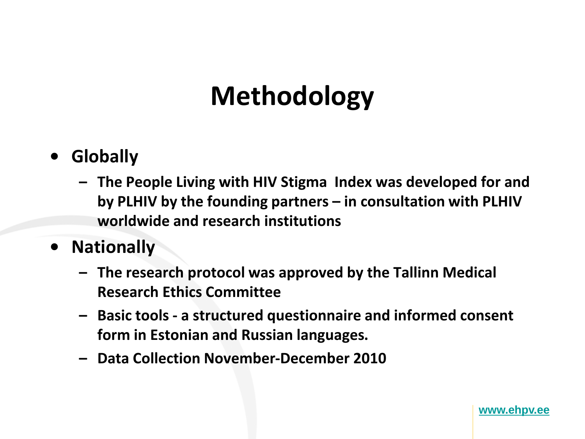## **Methodology**

- **• Globally** 
	- **– The People Living with HIV Stigma Index was developed for and by PLHIV by the founding partners – in consultation with PLHIV worldwide and research institutions**
- **• Nationally** 
	- **– The research protocol was approved by the Tallinn Medical Research Ethics Committee**
	- **– Basic tools - a structured questionnaire and informed consent form in Estonian and Russian languages.**
	- **– Data Collection November-December 2010**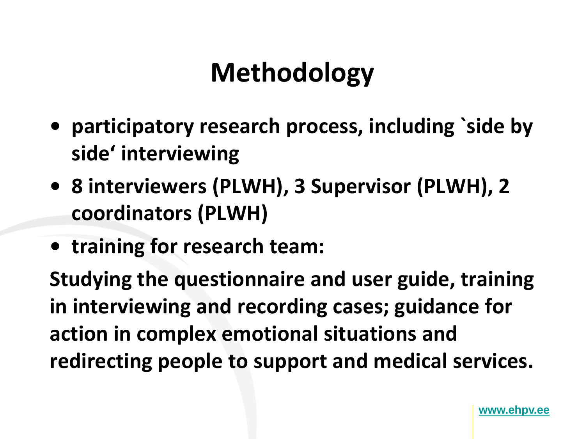## **Methodology**

- **• participatory research process, including `side by side' interviewing**
- **• 8 interviewers (PLWH), 3 Supervisor (PLWH), 2 coordinators (PLWH)**
- **• training for research team:**

**Studying the questionnaire and user guide, training in interviewing and recording cases; guidance for action in complex emotional situations and redirecting people to support and medical services.**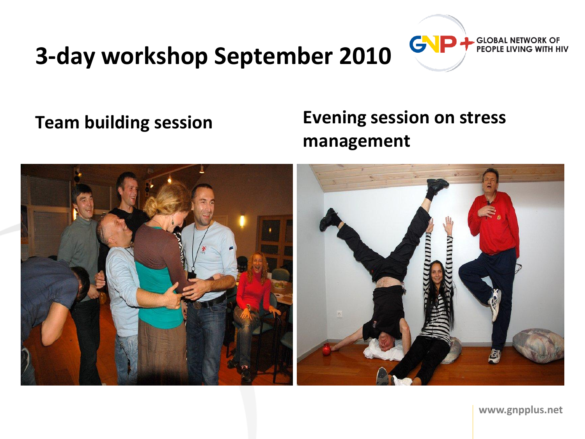## **3-day workshop September 2010**

### **Team building session Evening session on stress management**



**www.gnpplus.net**

**GLOBAL NETWORK OF** PEOPLE LIVING WITH HIV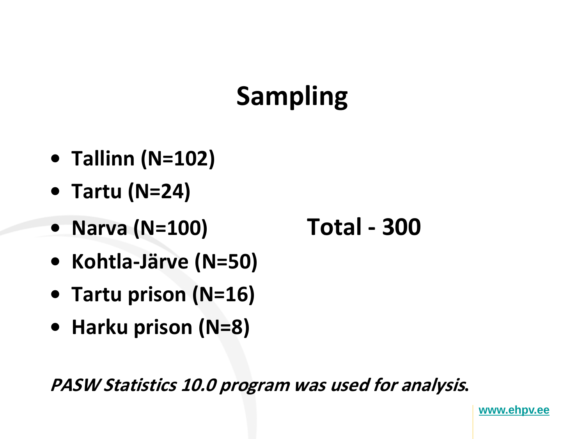# **Sampling**

- **• Tallinn (N=102)**
- **• Tartu (N=24)**
- **• Narva (N=100) Total - 300**
- **• Kohtla-Järve (N=50)**
- **• Tartu prison (N=16)**
- **• Harku prison (N=8)**

**PASW Statistics 10.0 program was used for analysis.**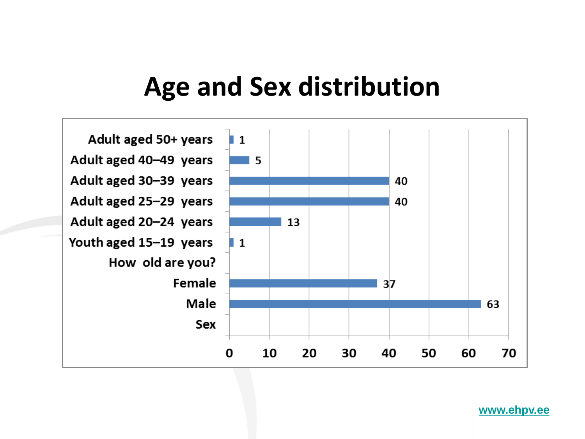## **Age and Sex distribution**

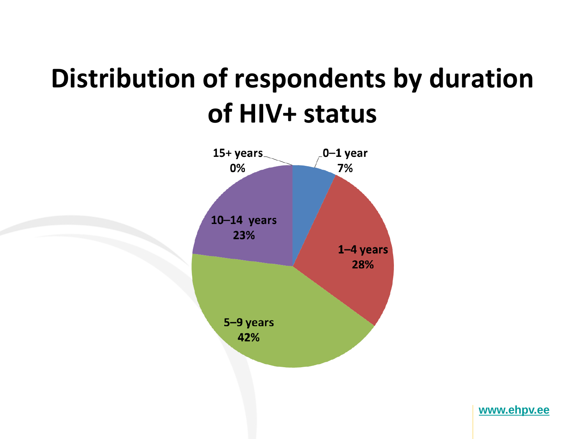## **Distribution of respondents by duration of HIV+ status**

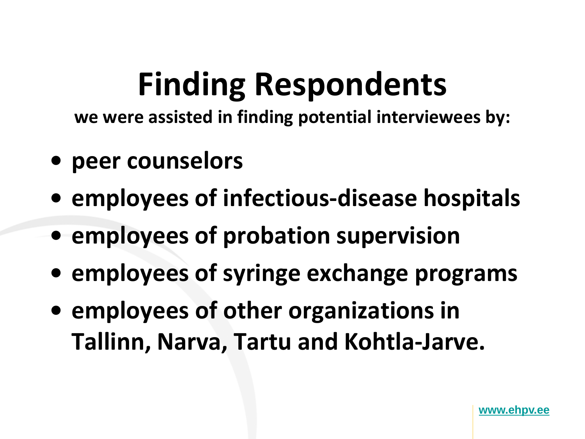# **Finding Respondents**

**we were assisted in finding potential interviewees by:** 

- **• peer counselors**
- **• employees of infectious-disease hospitals**
- **• employees of probation supervision**
- **• employees of syringe exchange programs**
- **• employees of other organizations in Tallinn, Narva, Tartu and Kohtla-Jarve.**

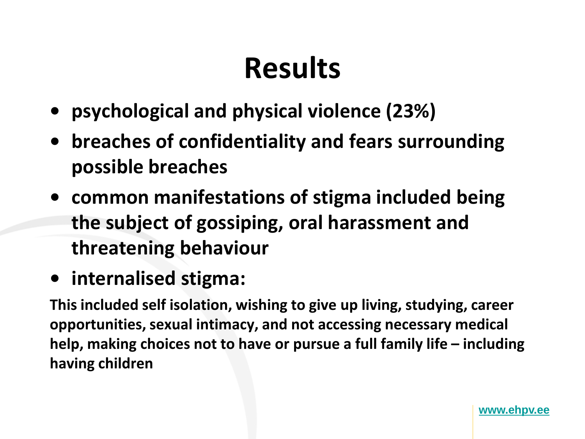# **Results**

- **• psychological and physical violence (23%)**
- **• breaches of confidentiality and fears surrounding possible breaches**
- **• common manifestations of stigma included being the subject of gossiping, oral harassment and threatening behaviour**
- **• internalised stigma:**

**This included self isolation, wishing to give up living, studying, career opportunities, sexual intimacy, and not accessing necessary medical help, making choices not to have or pursue a full family life – including having children**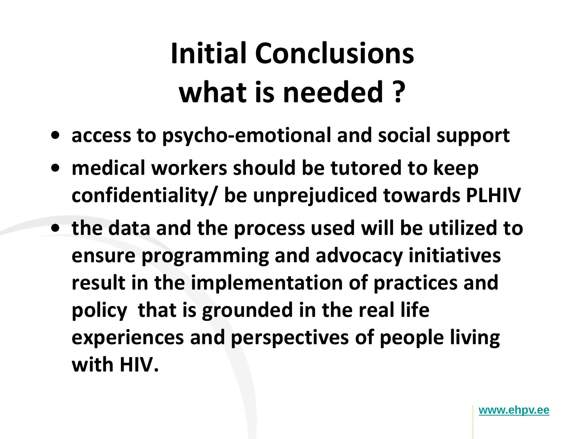# **Initial Conclusions what is needed ?**

- **• access to psycho-emotional and social support**
- **• medical workers should be tutored to keep confidentiality/ be unprejudiced towards PLHIV**
- **• the data and the process used will be utilized to ensure programming and advocacy initiatives result in the implementation of practices and policy that is grounded in the real life experiences and perspectives of people living with HIV.**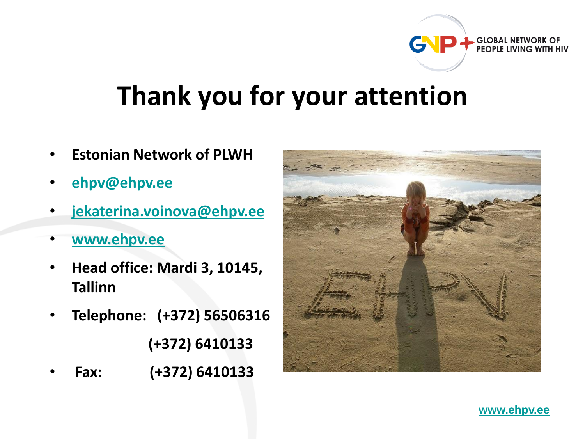# **Thank you for your attention**

- **Estonian Network of PLWH**
- **[ehpv@ehpv.ee](http://www.ehpv.ee/)**
- **[jekaterina.voinova@ehpv.ee](http://www.ehpv.ee/)**
- **[www.ehpv.ee](http://www.ehpv.ee/)**
- **Head office: Mardi 3, 10145, Tallinn**
- **Telephone: (+372) 56506316 (+372) 6410133**
- **Fax: (+372) 6410133**



**[www.ehpv.ee](http://www.ehpv.ee/)**

**GLOBAL NETWORK OF** PEOPLE LIVING WITH HIV